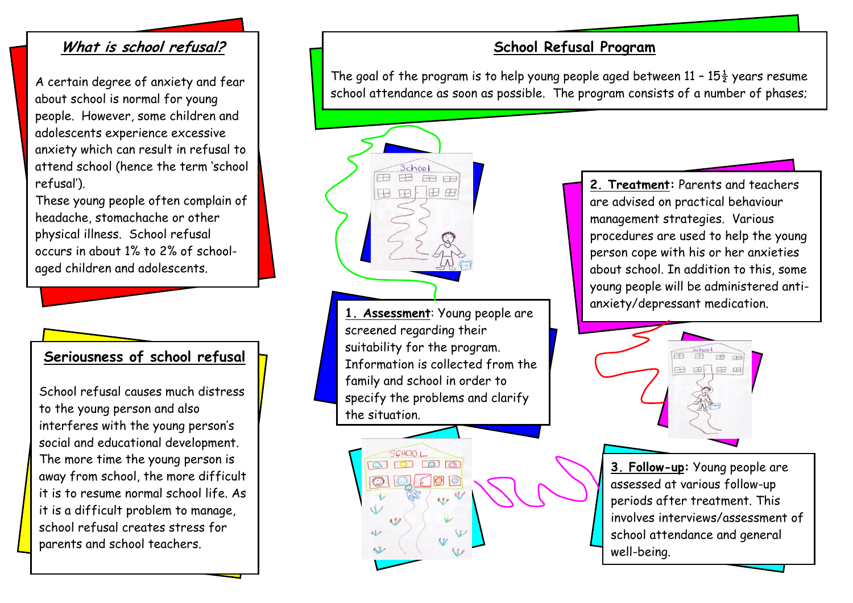## **What is school refusal?**

A certain degree of anxiety and fear about school is normal for young people. However, some children and adolescents experience excessive anxiety which can result in refusal to attend school (hence the term 'school refusal').

These young people often complain of headache, stomachache or other physical illness. School refusal occurs in about 1% to 2% of schoolaged children and adolescents.

## **Seriousness of school refusal**

School refusal causes much distress to the young person and also interferes with the young person's social and educational development. The more time the young person is away from school, the more difficult it is to resume normal school life. As it is a difficult problem to manage, school refusal creates stress for parents and school teachers.

## **School Refusal Program**

The goal of the program is to help young people aged between  $11 - 15\frac{1}{2}$  years resume school attendance as soon as possible. The program consists of a number of phases;

**1. Assessment**: Young people are screened regarding their suitability for the program. Information is collected from the family and school in order to specify the problems and clarify the situation.

 $\Box$ 

 $8.90$ 

 $\mathcal{L}$ 

SCHOOL  $\circ$  0 0 0 0

 $\circ$ 

School 田田田田 田田田田

**2. Treatment:** Parents and teachers are advised on practical behaviour management strategies. Various procedures are used to help the young person cope with his or her anxieties about school. In addition to this, some young people will be administered antianxiety/depressant medication.



**3. Follow-up:** Young people are assessed at various follow-up periods after treatment. This involves interviews/assessment of school attendance and general well-being.